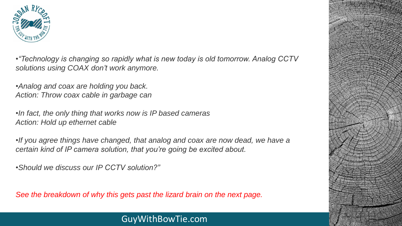

•*"Technology is changing so rapidly what is new today is old tomorrow. Analog CCTV solutions using COAX don't work anymore.*

•*Analog and coax are holding you back. Action: Throw coax cable in garbage can*

•*In fact, the only thing that works now is IP based cameras Action: Hold up ethernet cable*

•*If you agree things have changed, that analog and coax are now dead, we have a certain kind of IP camera solution, that you're going be excited about.*

•*Should we discuss our IP CCTV solution?"*

*See the breakdown of why this gets past the lizard brain on the next page.*

## GuyWithBowTie.com